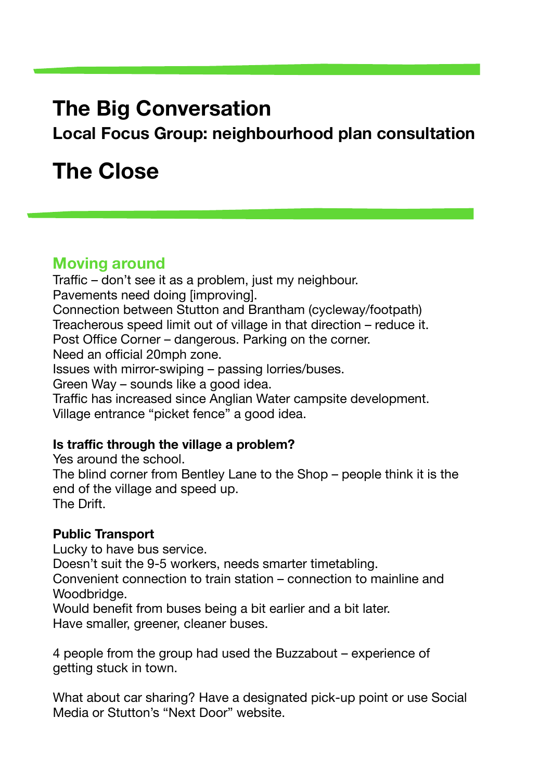# **The Big Conversation**

**Local Focus Group: neighbourhood plan consultation** 

# **The Close**

# **Moving around**

Traffic – don't see it as a problem, just my neighbour. Pavements need doing [improving]. Connection between Stutton and Brantham (cycleway/footpath) Treacherous speed limit out of village in that direction – reduce it. Post Office Corner – dangerous. Parking on the corner. Need an official 20mph zone. Issues with mirror-swiping – passing lorries/buses. Green Way – sounds like a good idea. Traffic has increased since Anglian Water campsite development. Village entrance "picket fence" a good idea.

# **Is traffic through the village a problem?**

Yes around the school. The blind corner from Bentley Lane to the Shop – people think it is the end of the village and speed up. The Drift.

# **Public Transport**

Lucky to have bus service. Doesn't suit the 9-5 workers, needs smarter timetabling. Convenient connection to train station – connection to mainline and Woodbridge.

Would benefit from buses being a bit earlier and a bit later. Have smaller, greener, cleaner buses.

4 people from the group had used the Buzzabout – experience of getting stuck in town.

What about car sharing? Have a designated pick-up point or use Social Media or Stutton's "Next Door" website.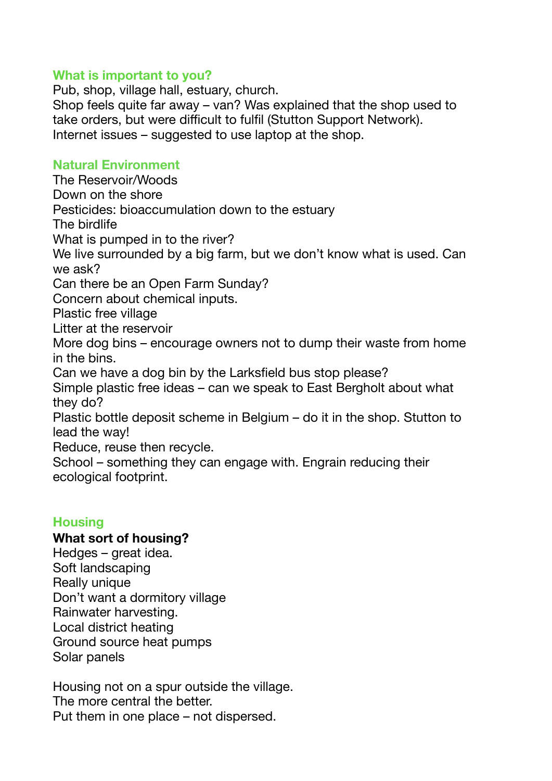#### **What is important to you?**

Pub, shop, village hall, estuary, church. Shop feels quite far away – van? Was explained that the shop used to take orders, but were difficult to fulfil (Stutton Support Network). Internet issues – suggested to use laptop at the shop.

# **Natural Environment**

The Reservoir/Woods Down on the shore Pesticides: bioaccumulation down to the estuary The birdlife What is pumped in to the river? We live surrounded by a big farm, but we don't know what is used. Can we ask? Can there be an Open Farm Sunday? Concern about chemical inputs. Plastic free village Litter at the reservoir More dog bins – encourage owners not to dump their waste from home in the bins. Can we have a dog bin by the Larksfield bus stop please? Simple plastic free ideas – can we speak to East Bergholt about what they do? Plastic bottle deposit scheme in Belgium – do it in the shop. Stutton to lead the way! Reduce, reuse then recycle. School – something they can engage with. Engrain reducing their ecological footprint.

# **Housing**

#### **What sort of housing?**

Hedges – great idea. Soft landscaping Really unique Don't want a dormitory village Rainwater harvesting. Local district heating Ground source heat pumps Solar panels

Housing not on a spur outside the village. The more central the better. Put them in one place – not dispersed.